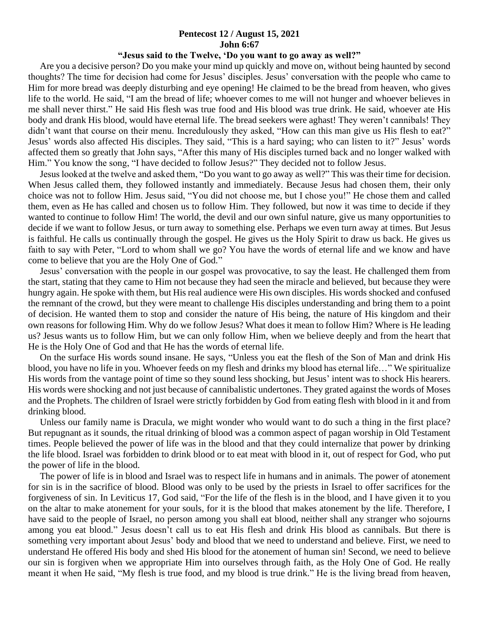## **Pentecost 12 / August 15, 2021 John 6:67**

## **"Jesus said to the Twelve, 'Do you want to go away as well?"**

 Are you a decisive person? Do you make your mind up quickly and move on, without being haunted by second thoughts? The time for decision had come for Jesus' disciples. Jesus' conversation with the people who came to Him for more bread was deeply disturbing and eye opening! He claimed to be the bread from heaven, who gives life to the world. He said, "I am the bread of life; whoever comes to me will not hunger and whoever believes in me shall never thirst." He said His flesh was true food and His blood was true drink. He said, whoever ate His body and drank His blood, would have eternal life. The bread seekers were aghast! They weren't cannibals! They didn't want that course on their menu. Incredulously they asked, "How can this man give us His flesh to eat?" Jesus' words also affected His disciples. They said, "This is a hard saying; who can listen to it?" Jesus' words affected them so greatly that John says, "After this many of His disciples turned back and no longer walked with Him." You know the song, "I have decided to follow Jesus?" They decided not to follow Jesus.

 Jesus looked at the twelve and asked them, "Do you want to go away as well?" This was their time for decision. When Jesus called them, they followed instantly and immediately. Because Jesus had chosen them, their only choice was not to follow Him. Jesus said, "You did not choose me, but I chose you!" He chose them and called them, even as He has called and chosen us to follow Him. They followed, but now it was time to decide if they wanted to continue to follow Him! The world, the devil and our own sinful nature, give us many opportunities to decide if we want to follow Jesus, or turn away to something else. Perhaps we even turn away at times. But Jesus is faithful. He calls us continually through the gospel. He gives us the Holy Spirit to draw us back. He gives us faith to say with Peter, "Lord to whom shall we go? You have the words of eternal life and we know and have come to believe that you are the Holy One of God."

 Jesus' conversation with the people in our gospel was provocative, to say the least. He challenged them from the start, stating that they came to Him not because they had seen the miracle and believed, but because they were hungry again. He spoke with them, but His real audience were His own disciples. His words shocked and confused the remnant of the crowd, but they were meant to challenge His disciples understanding and bring them to a point of decision. He wanted them to stop and consider the nature of His being, the nature of His kingdom and their own reasons for following Him. Why do we follow Jesus? What does it mean to follow Him? Where is He leading us? Jesus wants us to follow Him, but we can only follow Him, when we believe deeply and from the heart that He is the Holy One of God and that He has the words of eternal life.

 On the surface His words sound insane. He says, "Unless you eat the flesh of the Son of Man and drink His blood, you have no life in you. Whoever feeds on my flesh and drinks my blood has eternal life…" We spiritualize His words from the vantage point of time so they sound less shocking, but Jesus' intent was to shock His hearers. His words were shocking and not just because of cannibalistic undertones. They grated against the words of Moses and the Prophets. The children of Israel were strictly forbidden by God from eating flesh with blood in it and from drinking blood.

 Unless our family name is Dracula, we might wonder who would want to do such a thing in the first place? But repugnant as it sounds, the ritual drinking of blood was a common aspect of pagan worship in Old Testament times. People believed the power of life was in the blood and that they could internalize that power by drinking the life blood. Israel was forbidden to drink blood or to eat meat with blood in it, out of respect for God, who put the power of life in the blood.

 The power of life is in blood and Israel was to respect life in humans and in animals. The power of atonement for sin is in the sacrifice of blood. Blood was only to be used by the priests in Israel to offer sacrifices for the forgiveness of sin. In Leviticus 17, God said, "For the life of the flesh is in the blood, and I have given it to you on the altar to make atonement for your souls, for it is the blood that makes atonement by the life. Therefore, I have said to the people of Israel, no person among you shall eat blood, neither shall any stranger who sojourns among you eat blood." Jesus doesn't call us to eat His flesh and drink His blood as cannibals. But there is something very important about Jesus' body and blood that we need to understand and believe. First, we need to understand He offered His body and shed His blood for the atonement of human sin! Second, we need to believe our sin is forgiven when we appropriate Him into ourselves through faith, as the Holy One of God. He really meant it when He said, "My flesh is true food, and my blood is true drink." He is the living bread from heaven,